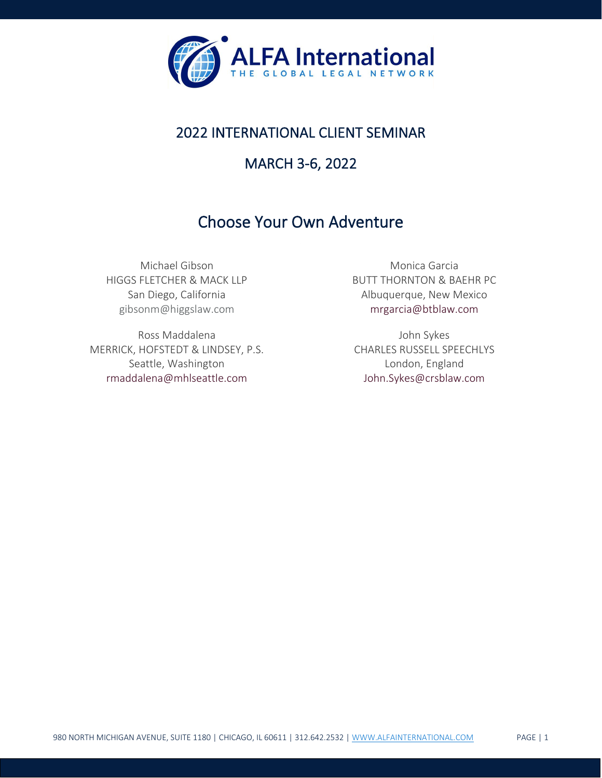

# 2022 INTERNATIONAL CLIENT SEMINAR

# MARCH 3-6, 2022

# Choose Your Own Adventure

Michael Gibson HIGGS FLETCHER & MACK LLP San Diego, California gibsonm@higgslaw.com

Ross Maddalena MERRICK, HOFSTEDT & LINDSEY, P.S. Seattle, Washington rmaddalena@mhlseattle.com

Monica Garcia BUTT THORNTON & BAEHR PC Albuquerque, New Mexico mrgarcia@btblaw.com

John Sykes CHARLES RUSSELL SPEECHLYS London, England John.Sykes@crsblaw.com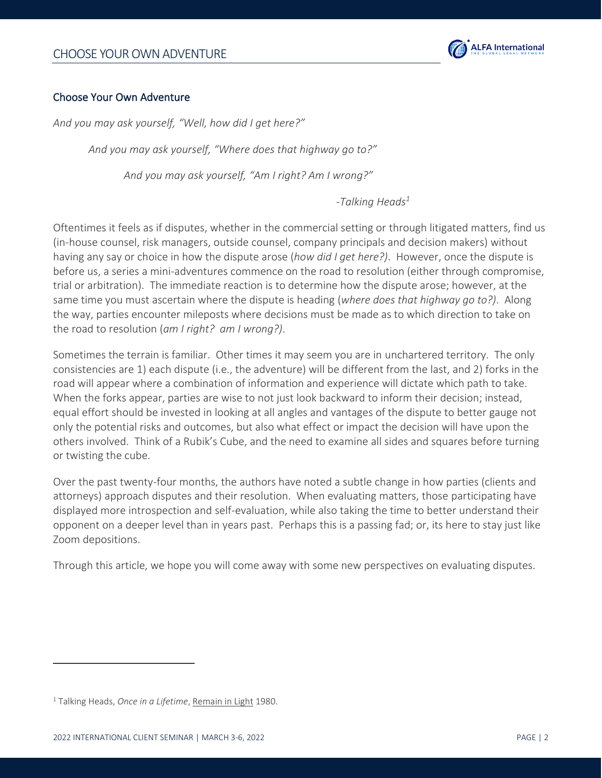

# Choose Your Own Adventure

*And you may ask yourself, "Well, how did I get here?"*

*And you may ask yourself, "Where does that highway go to?"*

*And you may ask yourself, "Am I right? Am I wrong?"*

*-Talking Heads<sup>1</sup>*

Oftentimes it feels as if disputes, whether in the commercial setting or through litigated matters, find us (in-house counsel, risk managers, outside counsel, company principals and decision makers) without having any say or choice in how the dispute arose (*how did I get here?)*. However, once the dispute is before us, a series a mini-adventures commence on the road to resolution (either through compromise, trial or arbitration). The immediate reaction is to determine how the dispute arose; however, at the same time you must ascertain where the dispute is heading (*where does that highway go to?)*. Along the way, parties encounter mileposts where decisions must be made as to which direction to take on the road to resolution (*am I right? am I wrong?)*.

Sometimes the terrain is familiar. Other times it may seem you are in unchartered territory. The only consistencies are 1) each dispute (i.e., the adventure) will be different from the last, and 2) forks in the road will appear where a combination of information and experience will dictate which path to take. When the forks appear, parties are wise to not just look backward to inform their decision; instead, equal effort should be invested in looking at all angles and vantages of the dispute to better gauge not only the potential risks and outcomes, but also what effect or impact the decision will have upon the others involved. Think of a Rubik's Cube, and the need to examine all sides and squares before turning or twisting the cube.

Over the past twenty-four months, the authors have noted a subtle change in how parties (clients and attorneys) approach disputes and their resolution. When evaluating matters, those participating have displayed more introspection and self-evaluation, while also taking the time to better understand their opponent on a deeper level than in years past. Perhaps this is a passing fad; or, its here to stay just like Zoom depositions.

Through this article, we hope you will come away with some new perspectives on evaluating disputes.

<sup>1</sup> Talking Heads, *Once in a Lifetime*, Remain in Light 1980.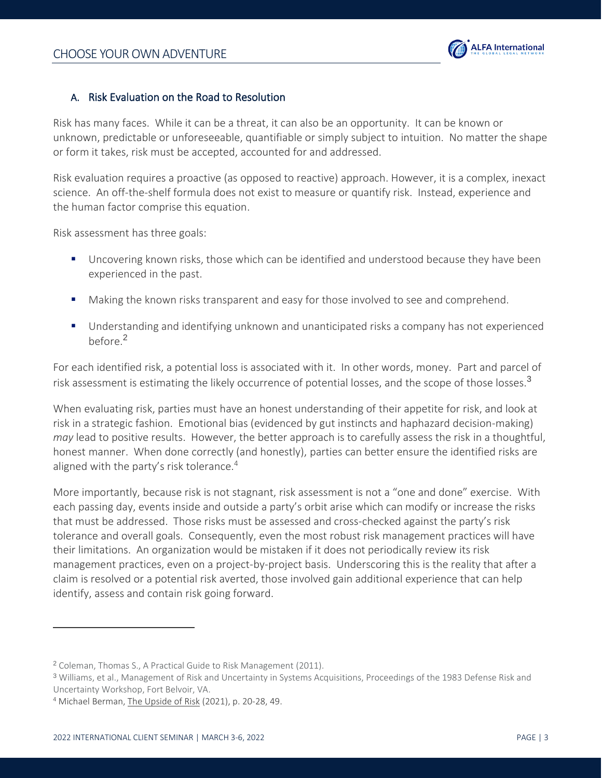

## A. Risk Evaluation on the Road to Resolution

Risk has many faces. While it can be a threat, it can also be an opportunity. It can be known or unknown, predictable or unforeseeable, quantifiable or simply subject to intuition. No matter the shape or form it takes, risk must be accepted, accounted for and addressed.

Risk evaluation requires a proactive (as opposed to reactive) approach. However, it is a complex, inexact science. An off-the-shelf formula does not exist to measure or quantify risk. Instead, experience and the human factor comprise this equation.

Risk assessment has three goals:

- Uncovering known risks, those which can be identified and understood because they have been experienced in the past.
- Making the known risks transparent and easy for those involved to see and comprehend.
- Understanding and identifying unknown and unanticipated risks a company has not experienced  $before<sup>2</sup>$

For each identified risk, a potential loss is associated with it. In other words, money. Part and parcel of risk assessment is estimating the likely occurrence of potential losses, and the scope of those losses. $^3$ 

When evaluating risk, parties must have an honest understanding of their appetite for risk, and look at risk in a strategic fashion. Emotional bias (evidenced by gut instincts and haphazard decision-making) *may* lead to positive results. However, the better approach is to carefully assess the risk in a thoughtful, honest manner. When done correctly (and honestly), parties can better ensure the identified risks are aligned with the party's risk tolerance.<sup>4</sup>

More importantly, because risk is not stagnant, risk assessment is not a "one and done" exercise. With each passing day, events inside and outside a party's orbit arise which can modify or increase the risks that must be addressed. Those risks must be assessed and cross-checked against the party's risk tolerance and overall goals. Consequently, even the most robust risk management practices will have their limitations. An organization would be mistaken if it does not periodically review its risk management practices, even on a project-by-project basis. Underscoring this is the reality that after a claim is resolved or a potential risk averted, those involved gain additional experience that can help identify, assess and contain risk going forward.

<sup>2</sup> Coleman, Thomas S., A Practical Guide to Risk Management (2011).

<sup>3</sup> Williams, et al., Management of Risk and Uncertainty in Systems Acquisitions, Proceedings of the 1983 Defense Risk and Uncertainty Workshop, Fort Belvoir, VA.

<sup>&</sup>lt;sup>4</sup> Michael Berman, The Upside of Risk (2021), p. 20-28, 49.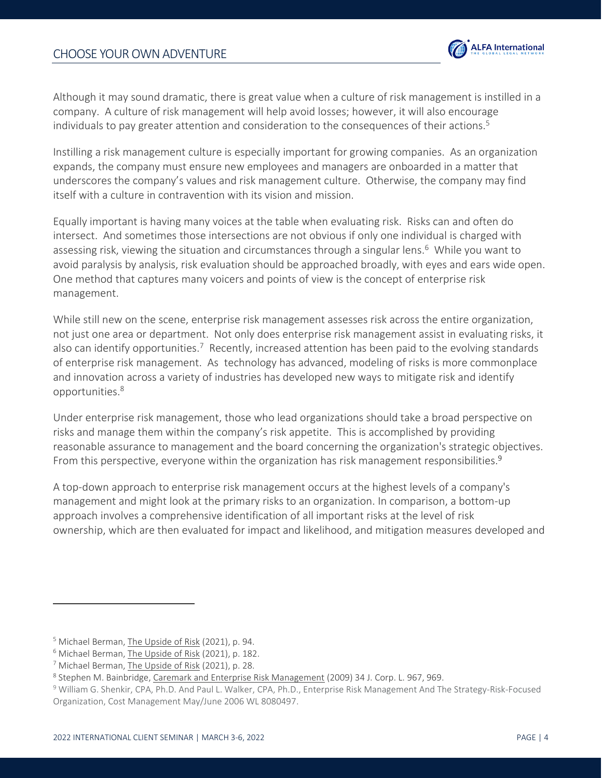

Although it may sound dramatic, there is great value when a culture of risk management is instilled in a company. A culture of risk management will help avoid losses; however, it will also encourage individuals to pay greater attention and consideration to the consequences of their actions.<sup>5</sup>

Instilling a risk management culture is especially important for growing companies. As an organization expands, the company must ensure new employees and managers are onboarded in a matter that underscores the company's values and risk management culture. Otherwise, the company may find itself with a culture in contravention with its vision and mission.

Equally important is having many voices at the table when evaluating risk. Risks can and often do intersect. And sometimes those intersections are not obvious if only one individual is charged with assessing risk, viewing the situation and circumstances through a singular lens. 6 While you want to avoid paralysis by analysis, risk evaluation should be approached broadly, with eyes and ears wide open. One method that captures many voicers and points of view is the concept of enterprise risk management.

While still new on the scene, enterprise risk management assesses risk across the entire organization, not just one area or department. Not only does enterprise risk management assist in evaluating risks, it also can identify opportunities.<sup>7</sup> Recently, increased attention has been paid to the evolving standards of enterprise risk management. As technology has advanced, modeling of risks is more commonplace and innovation across a variety of industries has developed new ways to mitigate risk and identify opportunities. 8

Under enterprise risk management, those who lead organizations should take a broad perspective on risks and manage them within the company's risk appetite. This is accomplished by providing reasonable assurance to management and the board concerning the organization's strategic objectives. From this perspective, everyone within the organization has risk management responsibilities.<sup>9</sup>

A top-down approach to enterprise risk management occurs at the highest levels of a company's management and might look at the primary risks to an organization. In comparison, a bottom-up approach involves a comprehensive identification of all important risks at the level of risk ownership, which are then evaluated for impact and likelihood, and mitigation measures developed and

<sup>5</sup> Michael Berman, The Upside of Risk (2021), p. 94.

<sup>6</sup> Michael Berman, The Upside of Risk (2021), p. 182.

<sup>7</sup> Michael Berman, The Upside of Risk (2021), p. 28.

<sup>&</sup>lt;sup>8</sup> Stephen M. Bainbridge, <u>Caremark and Enterprise Risk Management</u> (2009) 34 J. Corp. L. 967, 969.

<sup>9</sup> William G. Shenkir, CPA, Ph.D. And Paul L. Walker, CPA, Ph.D., Enterprise Risk Management And The Strategy-Risk-Focused Organization, Cost Management May/June 2006 WL 8080497.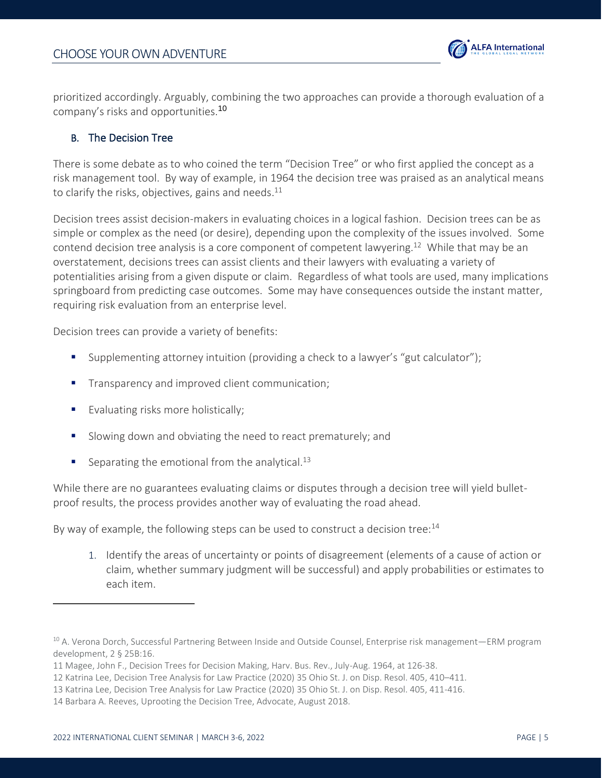

prioritized accordingly. Arguably, combining the two approaches can provide a thorough evaluation of a company's risks and opportunities.<sup>10</sup>

#### B. The Decision Tree

There is some debate as to who coined the term "Decision Tree" or who first applied the concept as a risk management tool. By way of example, in 1964 the decision tree was praised as an analytical means to clarify the risks, objectives, gains and needs.<sup>11</sup>

Decision trees assist decision-makers in evaluating choices in a logical fashion. Decision trees can be as simple or complex as the need (or desire), depending upon the complexity of the issues involved. Some contend decision tree analysis is a core component of competent lawyering.<sup>12</sup> While that may be an overstatement, decisions trees can assist clients and their lawyers with evaluating a variety of potentialities arising from a given dispute or claim. Regardless of what tools are used, many implications springboard from predicting case outcomes. Some may have consequences outside the instant matter, requiring risk evaluation from an enterprise level.

Decision trees can provide a variety of benefits:

- Supplementing attorney intuition (providing a check to a lawyer's "gut calculator");
- **Transparency and improved client communication;**
- Evaluating risks more holistically;
- Slowing down and obviating the need to react prematurely; and
- Separating the emotional from the analytical. $13$

While there are no guarantees evaluating claims or disputes through a decision tree will yield bulletproof results, the process provides another way of evaluating the road ahead.

By way of example, the following steps can be used to construct a decision tree: $^{14}$ 

1. Identify the areas of uncertainty or points of disagreement (elements of a cause of action or claim, whether summary judgment will be successful) and apply probabilities or estimates to each item.

<sup>10</sup> A. Verona Dorch, Successful Partnering Between Inside and Outside Counsel, Enterprise risk management—ERM program development, 2 § 25B:16.

<sup>11</sup> Magee, John F., Decision Trees for Decision Making, Harv. Bus. Rev., July-Aug. 1964, at 126-38.

<sup>12</sup> Katrina Lee, Decision Tree Analysis for Law Practice (2020) 35 Ohio St. J. on Disp. Resol. 405, 410–411.

<sup>13</sup> Katrina Lee, Decision Tree Analysis for Law Practice (2020) 35 Ohio St. J. on Disp. Resol. 405, 411-416.

<sup>14</sup> Barbara A. Reeves, Uprooting the Decision Tree, Advocate, August 2018.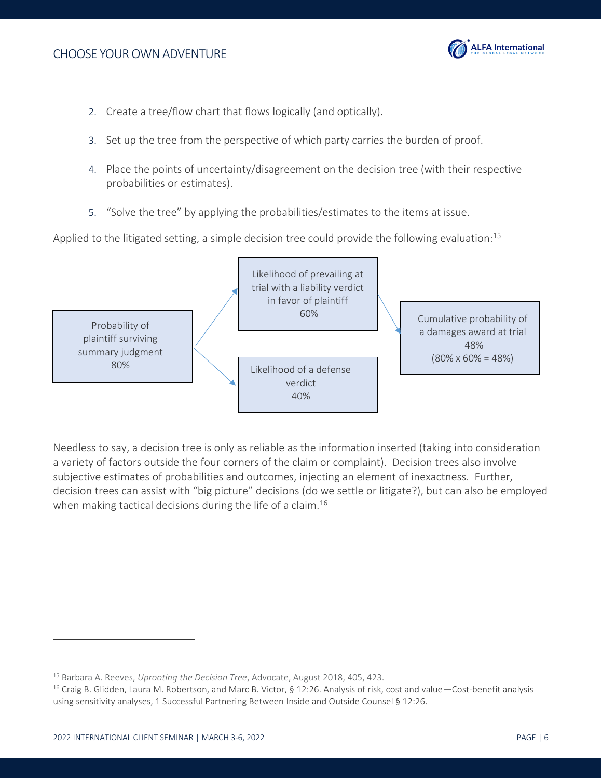

- 2. Create a tree/flow chart that flows logically (and optically).
- 3. Set up the tree from the perspective of which party carries the burden of proof.
- 4. Place the points of uncertainty/disagreement on the decision tree (with their respective probabilities or estimates).
- 5. "Solve the tree" by applying the probabilities/estimates to the items at issue.

Applied to the litigated setting, a simple decision tree could provide the following evaluation:<sup>15</sup>



Needless to say, a decision tree is only as reliable as the information inserted (taking into consideration a variety of factors outside the four corners of the claim or complaint). Decision trees also involve subjective estimates of probabilities and outcomes, injecting an element of inexactness. Further, decision trees can assist with "big picture" decisions (do we settle or litigate?), but can also be employed when making tactical decisions during the life of a claim.<sup>16</sup>

<sup>15</sup> Barbara A. Reeves, *Uprooting the Decision Tree*, Advocate, August 2018, 405, 423.

<sup>&</sup>lt;sup>16</sup> Craig B. Glidden, Laura M. Robertson, and Marc B. Victor, § 12:26. Analysis of risk, cost and value—Cost-benefit analysis using sensitivity analyses, 1 Successful Partnering Between Inside and Outside Counsel § 12:26.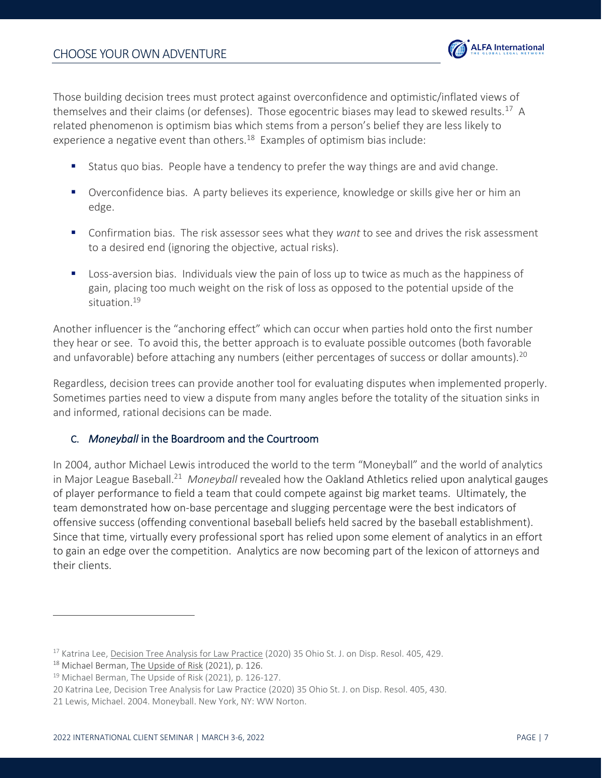

Those building decision trees must protect against overconfidence and optimistic/inflated views of themselves and their claims (or defenses). Those egocentric biases may lead to skewed results.<sup>17</sup> A related phenomenon is optimism bias which stems from a person's belief they are less likely to experience a negative event than others.<sup>18</sup> Examples of optimism bias include:

- Status quo bias. People have a tendency to prefer the way things are and avid change.
- Overconfidence bias. A party believes its experience, knowledge or skills give her or him an edge.
- Confirmation bias. The risk assessor sees what they *want* to see and drives the risk assessment to a desired end (ignoring the objective, actual risks).
- Loss-aversion bias. Individuals view the pain of loss up to twice as much as the happiness of gain, placing too much weight on the risk of loss as opposed to the potential upside of the situation.<sup>19</sup>

Another influencer is the "anchoring effect" which can occur when parties hold onto the first number they hear or see. To avoid this, the better approach is to evaluate possible outcomes (both favorable and unfavorable) before attaching any numbers (either percentages of success or dollar amounts).<sup>20</sup>

Regardless, decision trees can provide another tool for evaluating disputes when implemented properly. Sometimes parties need to view a dispute from many angles before the totality of the situation sinks in and informed, rational decisions can be made.

#### C. *Moneyball* in the Boardroom and the Courtroom

In 2004, author Michael Lewis introduced the world to the term "Moneyball" and the world of analytics in Major League Baseball.<sup>21</sup> Moneyball revealed how the Oakland Athletics relied upon analytical gauges of player performance to field a team that could compete against big market teams. Ultimately, the team demonstrated how on-base percentage and slugging percentage were the best indicators of offensive success (offending conventional baseball beliefs held sacred by the baseball establishment). Since that time, virtually every professional sport has relied upon some element of analytics in an effort to gain an edge over the competition. Analytics are now becoming part of the lexicon of attorneys and their clients.

<sup>&</sup>lt;sup>17</sup> Katrina Lee, Decision Tree Analysis for Law Practice (2020) 35 Ohio St. J. on Disp. Resol. 405, 429.

<sup>18</sup> Michael Berman, The Upside of Risk (2021), p. 126.

<sup>19</sup> Michael Berman, The Upside of Risk (2021), p. 126-127.

<sup>20</sup> Katrina Lee, Decision Tree Analysis for Law Practice (2020) 35 Ohio St. J. on Disp. Resol. 405, 430. 21 Lewis, Michael. 2004. Moneyball. New York, NY: WW Norton.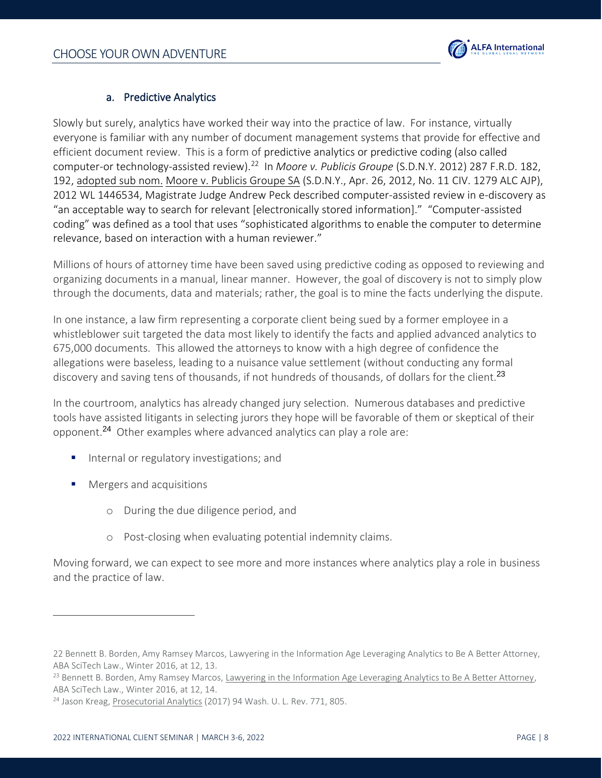

## a. Predictive Analytics

Slowly but surely, analytics have worked their way into the practice of law. For instance, virtually everyone is familiar with any number of document management systems that provide for effective and efficient document review. This is a form of predictive analytics or predictive coding (also called computer-or technology-assisted review).<sup>22</sup> In *Moore v. Publicis Groupe* (S.D.N.Y. 2012) 287 F.R.D. 182, 192, adopted sub nom. Moore v. Publicis Groupe SA (S.D.N.Y., Apr. 26, 2012, No. 11 CIV. 1279 ALC AJP), 2012 WL 1446534, Magistrate Judge Andrew Peck described computer-assisted review in e-discovery as "an acceptable way to search for relevant [electronically stored information]." "Computer-assisted coding" was defined as a tool that uses "sophisticated algorithms to enable the computer to determine relevance, based on interaction with a human reviewer."

Millions of hours of attorney time have been saved using predictive coding as opposed to reviewing and organizing documents in a manual, linear manner. However, the goal of discovery is not to simply plow through the documents, data and materials; rather, the goal is to mine the facts underlying the dispute.

In one instance, a law firm representing a corporate client being sued by a former employee in a whistleblower suit targeted the data most likely to identify the facts and applied advanced analytics to 675,000 documents. This allowed the attorneys to know with a high degree of confidence the allegations were baseless, leading to a nuisance value settlement (without conducting any formal discovery and saving tens of thousands, if not hundreds of thousands, of dollars for the client.<sup>23</sup>

In the courtroom, analytics has already changed jury selection. Numerous databases and predictive tools have assisted litigants in selecting jurors they hope will be favorable of them or skeptical of their opponent.<sup>24</sup> Other examples where advanced analytics can play a role are:

- Internal or regulatory investigations; and
- Mergers and acquisitions
	- o During the due diligence period, and
	- o Post-closing when evaluating potential indemnity claims.

Moving forward, we can expect to see more and more instances where analytics play a role in business and the practice of law.

<sup>22</sup> Bennett B. Borden, Amy Ramsey Marcos, Lawyering in the Information Age Leveraging Analytics to Be A Better Attorney, ABA SciTech Law., Winter 2016, at 12, 13.

<sup>&</sup>lt;sup>23</sup> Bennett B. Borden, Amy Ramsey Marcos, Lawyering in the Information Age Leveraging Analytics to Be A Better Attorney, ABA SciTech Law., Winter 2016, at 12, 14.

<sup>&</sup>lt;sup>24</sup> Jason Kreag, Prosecutorial Analytics (2017) 94 Wash. U. L. Rev. 771, 805.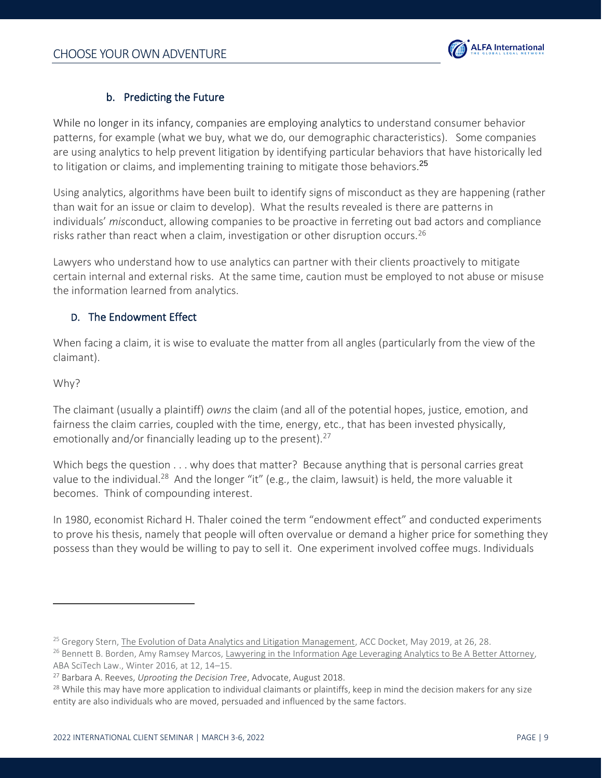

# b. Predicting the Future

While no longer in its infancy, companies are employing analytics to understand consumer behavior patterns, for example (what we buy, what we do, our demographic characteristics). Some companies are using analytics to help prevent litigation by identifying particular behaviors that have historically led to litigation or claims, and implementing training to mitigate those behaviors.<sup>25</sup>

Using analytics, algorithms have been built to identify signs of misconduct as they are happening (rather than wait for an issue or claim to develop). What the results revealed is there are patterns in individuals' *mis*conduct, allowing companies to be proactive in ferreting out bad actors and compliance risks rather than react when a claim, investigation or other disruption occurs.<sup>26</sup>

Lawyers who understand how to use analytics can partner with their clients proactively to mitigate certain internal and external risks. At the same time, caution must be employed to not abuse or misuse the information learned from analytics.

# D. The Endowment Effect

When facing a claim, it is wise to evaluate the matter from all angles (particularly from the view of the claimant).

Why?

The claimant (usually a plaintiff) *owns* the claim (and all of the potential hopes, justice, emotion, and fairness the claim carries, coupled with the time, energy, etc., that has been invested physically, emotionally and/or financially leading up to the present).<sup>27</sup>

Which begs the question . . . why does that matter? Because anything that is personal carries great value to the individual.<sup>28</sup> And the longer "it" (e.g., the claim, lawsuit) is held, the more valuable it becomes. Think of compounding interest.

In 1980, economist Richard H. Thaler coined the term "endowment effect" and conducted experiments to prove his thesis, namely that people will often overvalue or demand a higher price for something they possess than they would be willing to pay to sell it. One experiment involved coffee mugs. Individuals

<sup>&</sup>lt;sup>25</sup> Gregory Stern, The Evolution of Data Analytics and Litigation Management, ACC Docket, May 2019, at 26, 28.

<sup>&</sup>lt;sup>26</sup> Bennett B. Borden, Amy Ramsey Marcos, Lawyering in the Information Age Leveraging Analytics to Be A Better Attorney, ABA SciTech Law., Winter 2016, at 12, 14–15.

<sup>27</sup> Barbara A. Reeves, *Uprooting the Decision Tree*, Advocate, August 2018.

<sup>&</sup>lt;sup>28</sup> While this may have more application to individual claimants or plaintiffs, keep in mind the decision makers for any size entity are also individuals who are moved, persuaded and influenced by the same factors.